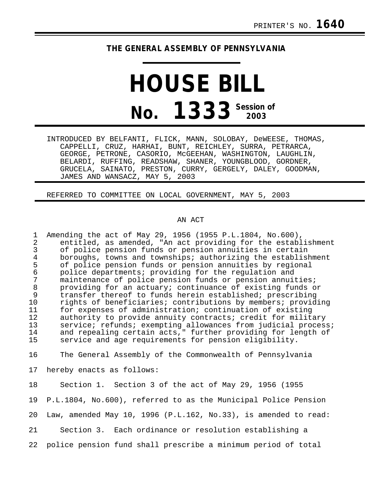## **THE GENERAL ASSEMBLY OF PENNSYLVANIA**

## **HOUSE BILL No. 1333 Session of 2003**

INTRODUCED BY BELFANTI, FLICK, MANN, SOLOBAY, DeWEESE, THOMAS, CAPPELLI, CRUZ, HARHAI, BUNT, REICHLEY, SURRA, PETRARCA, GEORGE, PETRONE, CASORIO, McGEEHAN, WASHINGTON, LAUGHLIN, BELARDI, RUFFING, READSHAW, SHANER, YOUNGBLOOD, GORDNER, GRUCELA, SAINATO, PRESTON, CURRY, GERGELY, DALEY, GOODMAN, JAMES AND WANSACZ, MAY 5, 2003

REFERRED TO COMMITTEE ON LOCAL GOVERNMENT, MAY 5, 2003

## AN ACT

1 Amending the act of May 29, 1956 (1955 P.L.1804, No.600), 2 entitled, as amended, "An act providing for the establishment<br>3 of police pension funds or pension annuities in certain 3 of police pension funds or pension annuities in certain 4 boroughs, towns and townships; authorizing the establishment<br>5 of police pension funds or pension annuities by regional 5 of police pension funds or pension annuities by regional<br>6 police departments; providing for the regulation and 6 police departments; providing for the regulation and maintenance of police pension funds or pension annuities; 8 providing for an actuary; continuance of existing funds or 9 transfer thereof to funds herein established; prescribing<br>10 rights of beneficiaries; contributions by members; provid: rights of beneficiaries; contributions by members; providing 11 for expenses of administration; continuation of existing<br>12 authority to provide annuity contracts; credit for milit authority to provide annuity contracts; credit for military 13 service; refunds; exempting allowances from judicial process;<br>14 and repealing certain acts." further providing for length of 14 and repealing certain acts," further providing for length of<br>15 service and age requirements for pension eligibility. service and age requirements for pension eligibility.

16 The General Assembly of the Commonwealth of Pennsylvania

17 hereby enacts as follows:

18 Section 1. Section 3 of the act of May 29, 1956 (1955 19 P.L.1804, No.600), referred to as the Municipal Police Pension 20 Law, amended May 10, 1996 (P.L.162, No.33), is amended to read: 21 Section 3. Each ordinance or resolution establishing a 22 police pension fund shall prescribe a minimum period of total